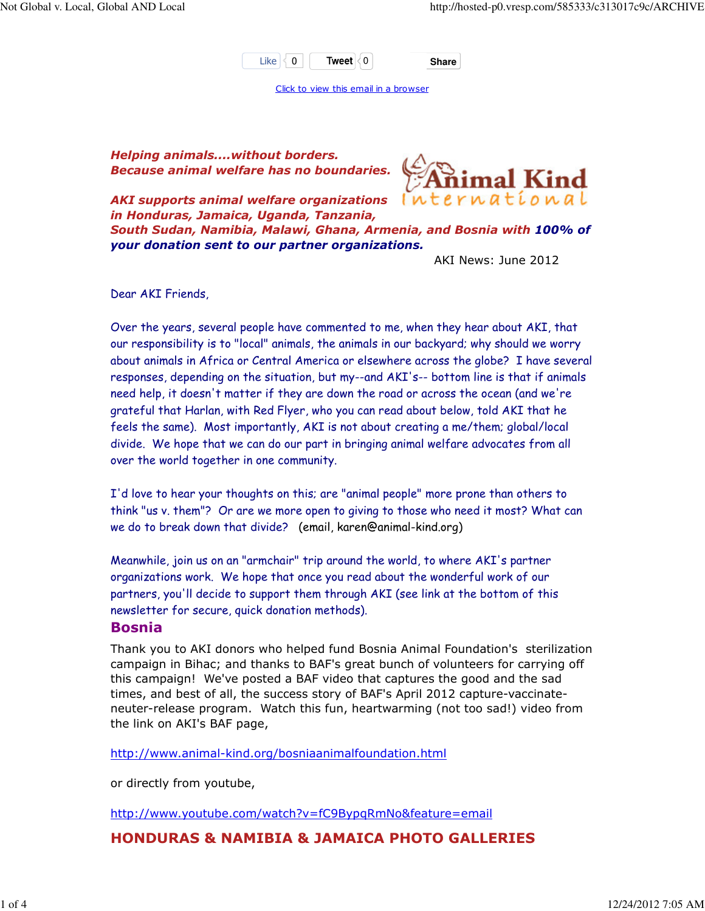

Click to view this email in a browser

Helping animals....without borders. Because animal welfare has no boundaries.



AKI supports animal welfare organizations in Honduras, Jamaica, Uganda, Tanzania, South Sudan, Namibia, Malawi, Ghana, Armenia, and Bosnia with 100% of your donation sent to our partner organizations.

AKI News: June 2012

Dear AKI Friends,

Over the years, several people have commented to me, when they hear about AKI, that our responsibility is to "local" animals, the animals in our backyard; why should we worry about animals in Africa or Central America or elsewhere across the globe? I have several responses, depending on the situation, but my--and AKI's-- bottom line is that if animals need help, it doesn't matter if they are down the road or across the ocean (and we're grateful that Harlan, with Red Flyer, who you can read about below, told AKI that he feels the same). Most importantly, AKI is not about creating a me/them; global/local divide. We hope that we can do our part in bringing animal welfare advocates from all over the world together in one community.

I'd love to hear your thoughts on this; are "animal people" more prone than others to think "us v. them"? Or are we more open to giving to those who need it most? What can we do to break down that divide? (email, karen@animal-kind.org)

Meanwhile, join us on an "armchair" trip around the world, to where AKI's partner organizations work. We hope that once you read about the wonderful work of our partners, you'll decide to support them through AKI (see link at the bottom of this newsletter for secure, quick donation methods).

#### Bosnia

Thank you to AKI donors who helped fund Bosnia Animal Foundation's sterilization campaign in Bihac; and thanks to BAF's great bunch of volunteers for carrying off this campaign! We've posted a BAF video that captures the good and the sad times, and best of all, the success story of BAF's April 2012 capture-vaccinateneuter-release program. Watch this fun, heartwarming (not too sad!) video from the link on AKI's BAF page,

http://www.animal-kind.org/bosniaanimalfoundation.html

or directly from youtube,

http://www.youtube.com/watch?v=fC9BypqRmNo&feature=email

HONDURAS & NAMIBIA & JAMAICA PHOTO GALLERIES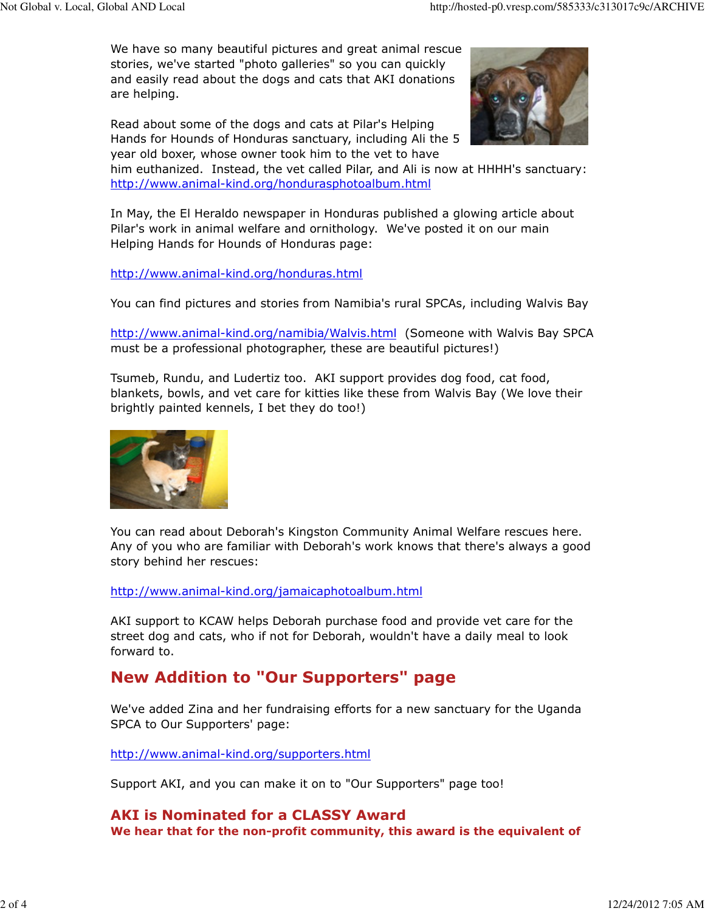We have so many beautiful pictures and great animal rescue stories, we've started "photo galleries" so you can quickly and easily read about the dogs and cats that AKI donations are helping.

Read about some of the dogs and cats at Pilar's Helping Hands for Hounds of Honduras sanctuary, including Ali the 5 year old boxer, whose owner took him to the vet to have



him euthanized. Instead, the vet called Pilar, and Ali is now at HHHH's sanctuary: http://www.animal-kind.org/hondurasphotoalbum.html

In May, the El Heraldo newspaper in Honduras published a glowing article about Pilar's work in animal welfare and ornithology. We've posted it on our main Helping Hands for Hounds of Honduras page:

http://www.animal-kind.org/honduras.html

You can find pictures and stories from Namibia's rural SPCAs, including Walvis Bay

http://www.animal-kind.org/namibia/Walvis.html (Someone with Walvis Bay SPCA must be a professional photographer, these are beautiful pictures!)

Tsumeb, Rundu, and Ludertiz too. AKI support provides dog food, cat food, blankets, bowls, and vet care for kitties like these from Walvis Bay (We love their brightly painted kennels, I bet they do too!)



You can read about Deborah's Kingston Community Animal Welfare rescues here. Any of you who are familiar with Deborah's work knows that there's always a good story behind her rescues:

http://www.animal-kind.org/jamaicaphotoalbum.html

AKI support to KCAW helps Deborah purchase food and provide vet care for the street dog and cats, who if not for Deborah, wouldn't have a daily meal to look forward to.

# New Addition to "Our Supporters" page

We've added Zina and her fundraising efforts for a new sanctuary for the Uganda SPCA to Our Supporters' page:

http://www.animal-kind.org/supporters.html

Support AKI, and you can make it on to "Our Supporters" page too!

## AKI is Nominated for a CLASSY Award

We hear that for the non-profit community, this award is the equivalent of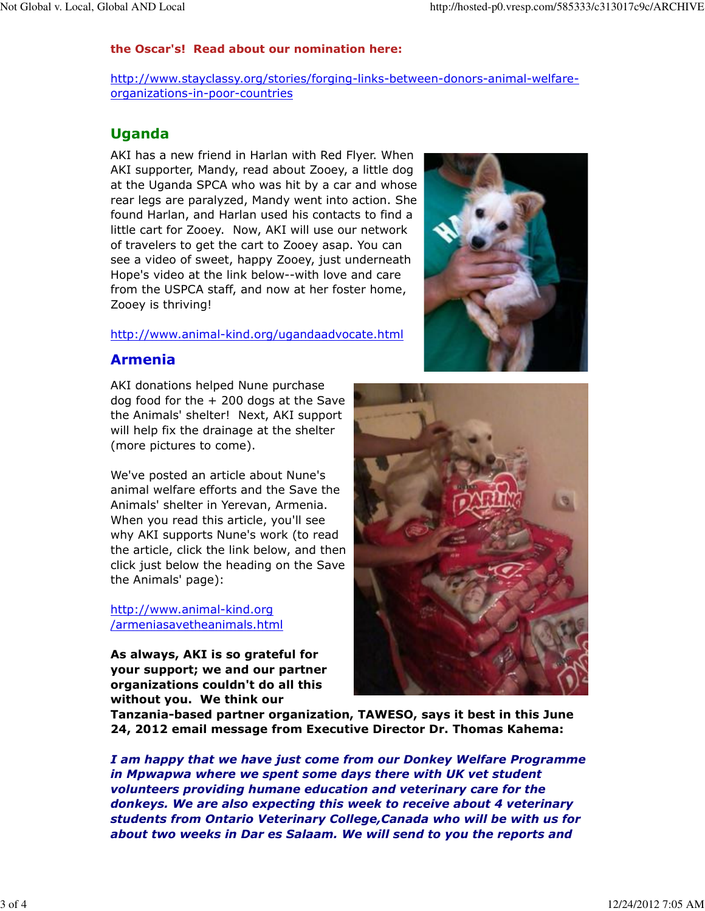#### the Oscar's! Read about our nomination here:

http://www.stayclassy.org/stories/forging-links-between-donors-animal-welfareorganizations-in-poor-countries

### Uganda

AKI has a new friend in Harlan with Red Flyer. When AKI supporter, Mandy, read about Zooey, a little dog at the Uganda SPCA who was hit by a car and whose rear legs are paralyzed, Mandy went into action. She found Harlan, and Harlan used his contacts to find a little cart for Zooey. Now, AKI will use our network of travelers to get the cart to Zooey asap. You can see a video of sweet, happy Zooey, just underneath Hope's video at the link below--with love and care from the USPCA staff, and now at her foster home, Zooey is thriving!

#### http://www.animal-kind.org/ugandaadvocate.html

#### Armenia

AKI donations helped Nune purchase dog food for the  $+$  200 dogs at the Save the Animals' shelter! Next, AKI support will help fix the drainage at the shelter (more pictures to come).

We've posted an article about Nune's animal welfare efforts and the Save the Animals' shelter in Yerevan, Armenia. When you read this article, you'll see why AKI supports Nune's work (to read the article, click the link below, and then click just below the heading on the Save the Animals' page):

http://www.animal-kind.org /armeniasavetheanimals.html

As always, AKI is so grateful for your support; we and our partner organizations couldn't do all this without you. We think our





Tanzania-based partner organization, TAWESO, says it best in this June 24, 2012 email message from Executive Director Dr. Thomas Kahema:

I am happy that we have just come from our Donkey Welfare Programme in Mpwapwa where we spent some days there with UK vet student volunteers providing humane education and veterinary care for the donkeys. We are also expecting this week to receive about 4 veterinary students from Ontario Veterinary College,Canada who will be with us for about two weeks in Dar es Salaam. We will send to you the reports and